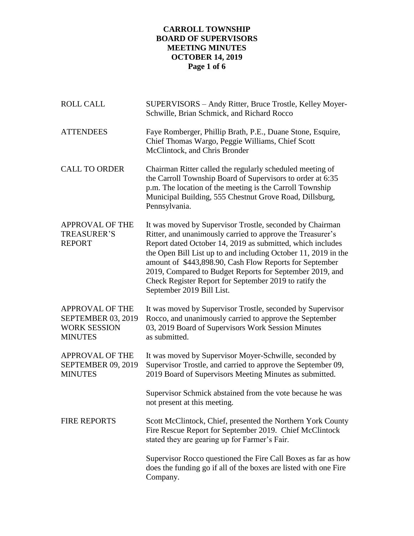# **CARROLL TOWNSHIP BOARD OF SUPERVISORS MEETING MINUTES OCTOBER 14, 2019 Page 1 of 6**

| <b>ROLL CALL</b>                                                                      | SUPERVISORS - Andy Ritter, Bruce Trostle, Kelley Moyer-<br>Schwille, Brian Schmick, and Richard Rocco                                                                                                                                                                                                                                                                                                                                                                |
|---------------------------------------------------------------------------------------|----------------------------------------------------------------------------------------------------------------------------------------------------------------------------------------------------------------------------------------------------------------------------------------------------------------------------------------------------------------------------------------------------------------------------------------------------------------------|
| <b>ATTENDEES</b>                                                                      | Faye Romberger, Phillip Brath, P.E., Duane Stone, Esquire,<br>Chief Thomas Wargo, Peggie Williams, Chief Scott<br>McClintock, and Chris Bronder                                                                                                                                                                                                                                                                                                                      |
| <b>CALL TO ORDER</b>                                                                  | Chairman Ritter called the regularly scheduled meeting of<br>the Carroll Township Board of Supervisors to order at 6:35<br>p.m. The location of the meeting is the Carroll Township<br>Municipal Building, 555 Chestnut Grove Road, Dillsburg,<br>Pennsylvania.                                                                                                                                                                                                      |
| <b>APPROVAL OF THE</b><br><b>TREASURER'S</b><br><b>REPORT</b>                         | It was moved by Supervisor Trostle, seconded by Chairman<br>Ritter, and unanimously carried to approve the Treasurer's<br>Report dated October 14, 2019 as submitted, which includes<br>the Open Bill List up to and including October 11, 2019 in the<br>amount of \$443,898.90, Cash Flow Reports for September<br>2019, Compared to Budget Reports for September 2019, and<br>Check Register Report for September 2019 to ratify the<br>September 2019 Bill List. |
| <b>APPROVAL OF THE</b><br>SEPTEMBER 03, 2019<br><b>WORK SESSION</b><br><b>MINUTES</b> | It was moved by Supervisor Trostle, seconded by Supervisor<br>Rocco, and unanimously carried to approve the September<br>03, 2019 Board of Supervisors Work Session Minutes<br>as submitted.                                                                                                                                                                                                                                                                         |
| <b>APPROVAL OF THE</b><br>SEPTEMBER 09, 2019<br><b>MINUTES</b>                        | It was moved by Supervisor Moyer-Schwille, seconded by<br>Supervisor Trostle, and carried to approve the September 09,<br>2019 Board of Supervisors Meeting Minutes as submitted.                                                                                                                                                                                                                                                                                    |
|                                                                                       | Supervisor Schmick abstained from the vote because he was<br>not present at this meeting.                                                                                                                                                                                                                                                                                                                                                                            |
| FIRE REPORTS                                                                          | Scott McClintock, Chief, presented the Northern York County<br>Fire Rescue Report for September 2019. Chief McClintock<br>stated they are gearing up for Farmer's Fair.                                                                                                                                                                                                                                                                                              |
|                                                                                       | Supervisor Rocco questioned the Fire Call Boxes as far as how<br>does the funding go if all of the boxes are listed with one Fire<br>Company.                                                                                                                                                                                                                                                                                                                        |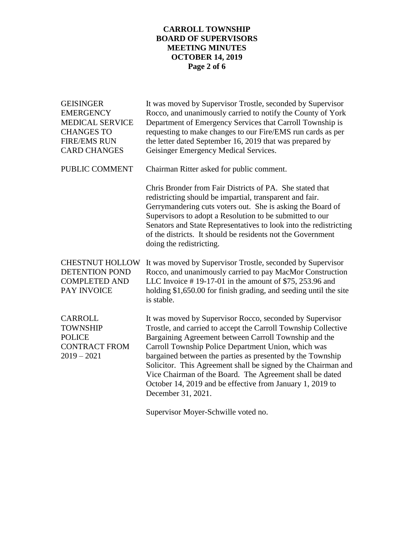# **CARROLL TOWNSHIP BOARD OF SUPERVISORS MEETING MINUTES OCTOBER 14, 2019 Page 2 of 6**

| <b>GEISINGER</b><br><b>EMERGENCY</b><br><b>MEDICAL SERVICE</b><br><b>CHANGES TO</b><br><b>FIRE/EMS RUN</b><br><b>CARD CHANGES</b> | It was moved by Supervisor Trostle, seconded by Supervisor<br>Rocco, and unanimously carried to notify the County of York<br>Department of Emergency Services that Carroll Township is<br>requesting to make changes to our Fire/EMS run cards as per<br>the letter dated September 16, 2019 that was prepared by<br>Geisinger Emergency Medical Services.                                                                                                                                                               |
|-----------------------------------------------------------------------------------------------------------------------------------|--------------------------------------------------------------------------------------------------------------------------------------------------------------------------------------------------------------------------------------------------------------------------------------------------------------------------------------------------------------------------------------------------------------------------------------------------------------------------------------------------------------------------|
| PUBLIC COMMENT                                                                                                                    | Chairman Ritter asked for public comment.                                                                                                                                                                                                                                                                                                                                                                                                                                                                                |
|                                                                                                                                   | Chris Bronder from Fair Districts of PA. She stated that<br>redistricting should be impartial, transparent and fair.<br>Gerrymandering cuts voters out. She is asking the Board of<br>Supervisors to adopt a Resolution to be submitted to our<br>Senators and State Representatives to look into the redistricting<br>of the districts. It should be residents not the Government<br>doing the redistricting.                                                                                                           |
| <b>CHESTNUT HOLLOW</b><br><b>DETENTION POND</b><br><b>COMPLETED AND</b><br>PAY INVOICE                                            | It was moved by Supervisor Trostle, seconded by Supervisor<br>Rocco, and unanimously carried to pay MacMor Construction<br>LLC Invoice #19-17-01 in the amount of \$75, 253.96 and<br>holding \$1,650.00 for finish grading, and seeding until the site<br>is stable.                                                                                                                                                                                                                                                    |
| CARROLL<br><b>TOWNSHIP</b><br><b>POLICE</b><br><b>CONTRACT FROM</b><br>$2019 - 2021$                                              | It was moved by Supervisor Rocco, seconded by Supervisor<br>Trostle, and carried to accept the Carroll Township Collective<br>Bargaining Agreement between Carroll Township and the<br>Carroll Township Police Department Union, which was<br>bargained between the parties as presented by the Township<br>Solicitor. This Agreement shall be signed by the Chairman and<br>Vice Chairman of the Board. The Agreement shall be dated<br>October 14, 2019 and be effective from January 1, 2019 to<br>December 31, 2021. |

Supervisor Moyer-Schwille voted no.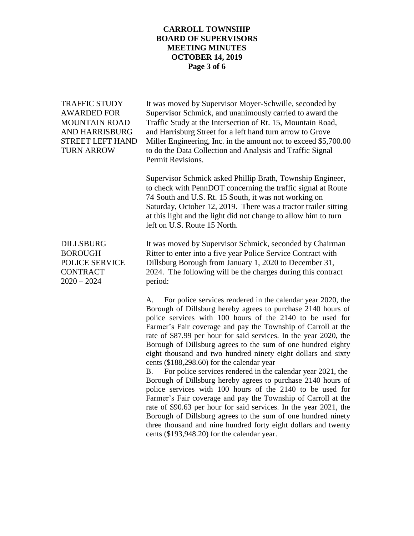## **CARROLL TOWNSHIP BOARD OF SUPERVISORS MEETING MINUTES OCTOBER 14, 2019 Page 3 of 6**

TRAFFIC STUDY It was moved by Supervisor Moyer-Schwille, seconded by AWARDED FOR Supervisor Schmick, and unanimously carried to award the MOUNTAIN ROAD Traffic Study at the Intersection of Rt. 15, Mountain Road, AND HARRISBURG and Harrisburg Street for a left hand turn arrow to Grove STREET LEFT HAND Miller Engineering, Inc. in the amount not to exceed \$5,700.00 TURN ARROW to do the Data Collection and Analysis and Traffic Signal Permit Revisions.

> Supervisor Schmick asked Phillip Brath, Township Engineer, to check with PennDOT concerning the traffic signal at Route 74 South and U.S. Rt. 15 South, it was not working on Saturday, October 12, 2019. There was a tractor trailer sitting at this light and the light did not change to allow him to turn left on U.S. Route 15 North.

DILLSBURG It was moved by Supervisor Schmick, seconded by Chairman BOROUGH Ritter to enter into a five year Police Service Contract with POLICE SERVICE Dillsburg Borough from January 1, 2020 to December 31, CONTRACT 2024. The following will be the charges during this contract

> A. For police services rendered in the calendar year 2020, the Borough of Dillsburg hereby agrees to purchase 2140 hours of police services with 100 hours of the 2140 to be used for Farmer's Fair coverage and pay the Township of Carroll at the rate of \$87.99 per hour for said services. In the year 2020, the Borough of Dillsburg agrees to the sum of one hundred eighty eight thousand and two hundred ninety eight dollars and sixty cents (\$188,298.60) for the calendar year

> B. For police services rendered in the calendar year 2021, the Borough of Dillsburg hereby agrees to purchase 2140 hours of police services with 100 hours of the 2140 to be used for Farmer's Fair coverage and pay the Township of Carroll at the rate of \$90.63 per hour for said services. In the year 2021, the Borough of Dillsburg agrees to the sum of one hundred ninety three thousand and nine hundred forty eight dollars and twenty cents (\$193,948.20) for the calendar year.

2020 – 2024 period: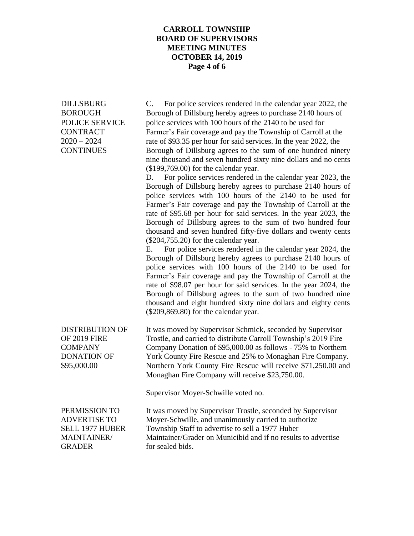### **CARROLL TOWNSHIP BOARD OF SUPERVISORS MEETING MINUTES OCTOBER 14, 2019 Page 4 of 6**

DILLSBURG C. For police services rendered in the calendar year 2022, the BOROUGH Borough of Dillsburg hereby agrees to purchase 2140 hours of POLICE SERVICE police services with 100 hours of the 2140 to be used for CONTRACT Farmer's Fair coverage and pay the Township of Carroll at the 2020 – 2024 rate of \$93.35 per hour for said services. In the year 2022, the CONTINUES Borough of Dillsburg agrees to the sum of one hundred ninety nine thousand and seven hundred sixty nine dollars and no cents (\$199,769.00) for the calendar year.

> D. For police services rendered in the calendar year 2023, the Borough of Dillsburg hereby agrees to purchase 2140 hours of police services with 100 hours of the 2140 to be used for Farmer's Fair coverage and pay the Township of Carroll at the rate of \$95.68 per hour for said services. In the year 2023, the Borough of Dillsburg agrees to the sum of two hundred four thousand and seven hundred fifty-five dollars and twenty cents (\$204,755.20) for the calendar year.

> E. For police services rendered in the calendar year 2024, the Borough of Dillsburg hereby agrees to purchase 2140 hours of police services with 100 hours of the 2140 to be used for Farmer's Fair coverage and pay the Township of Carroll at the rate of \$98.07 per hour for said services. In the year 2024, the Borough of Dillsburg agrees to the sum of two hundred nine thousand and eight hundred sixty nine dollars and eighty cents (\$209,869.80) for the calendar year.

DISTRIBUTION OF It was moved by Supervisor Schmick, seconded by Supervisor OF 2019 FIRE Trostle, and carried to distribute Carroll Township's 2019 Fire COMPANY Company Donation of \$95,000.00 as follows - 75% to Northern DONATION OF York County Fire Rescue and 25% to Monaghan Fire Company. \$95,000.00 Northern York County Fire Rescue will receive \$71,250.00 and Monaghan Fire Company will receive \$23,750.00.

Supervisor Moyer-Schwille voted no.

GRADER for sealed bids.

PERMISSION TO It was moved by Supervisor Trostle, seconded by Supervisor ADVERTISE TO Moyer-Schwille, and unanimously carried to authorize SELL 1977 HUBER Township Staff to advertise to sell a 1977 Huber MAINTAINER/ Maintainer/Grader on Municibid and if no results to advertise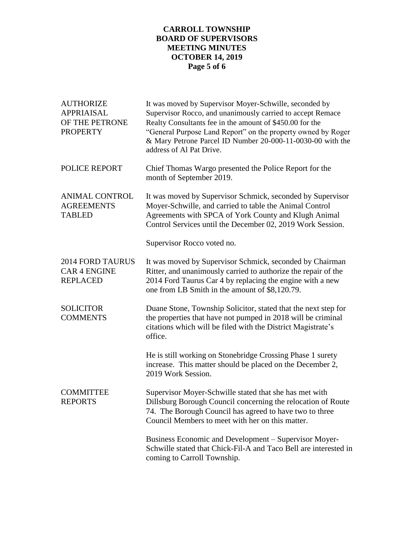# **CARROLL TOWNSHIP BOARD OF SUPERVISORS MEETING MINUTES OCTOBER 14, 2019 Page 5 of 6**

| <b>AUTHORIZE</b><br><b>APPRIAISAL</b><br>OF THE PETRONE<br><b>PROPERTY</b> | It was moved by Supervisor Moyer-Schwille, seconded by<br>Supervisor Rocco, and unanimously carried to accept Remace<br>Realty Consultants fee in the amount of \$450.00 for the<br>"General Purpose Land Report" on the property owned by Roger<br>& Mary Petrone Parcel ID Number 20-000-11-0030-00 with the<br>address of Al Pat Drive. |
|----------------------------------------------------------------------------|--------------------------------------------------------------------------------------------------------------------------------------------------------------------------------------------------------------------------------------------------------------------------------------------------------------------------------------------|
| <b>POLICE REPORT</b>                                                       | Chief Thomas Wargo presented the Police Report for the<br>month of September 2019.                                                                                                                                                                                                                                                         |
| <b>ANIMAL CONTROL</b><br><b>AGREEMENTS</b><br><b>TABLED</b>                | It was moved by Supervisor Schmick, seconded by Supervisor<br>Moyer-Schwille, and carried to table the Animal Control<br>Agreements with SPCA of York County and Klugh Animal<br>Control Services until the December 02, 2019 Work Session.                                                                                                |
|                                                                            | Supervisor Rocco voted no.                                                                                                                                                                                                                                                                                                                 |
| <b>2014 FORD TAURUS</b><br><b>CAR 4 ENGINE</b><br><b>REPLACED</b>          | It was moved by Supervisor Schmick, seconded by Chairman<br>Ritter, and unanimously carried to authorize the repair of the<br>2014 Ford Taurus Car 4 by replacing the engine with a new<br>one from LB Smith in the amount of \$8,120.79.                                                                                                  |
| <b>SOLICITOR</b><br><b>COMMENTS</b>                                        | Duane Stone, Township Solicitor, stated that the next step for<br>the properties that have not pumped in 2018 will be criminal<br>citations which will be filed with the District Magistrate's<br>office.                                                                                                                                  |
|                                                                            | He is still working on Stonebridge Crossing Phase 1 surety<br>increase. This matter should be placed on the December 2,<br>2019 Work Session.                                                                                                                                                                                              |
| <b>COMMITTEE</b><br><b>REPORTS</b>                                         | Supervisor Moyer-Schwille stated that she has met with<br>Dillsburg Borough Council concerning the relocation of Route<br>74. The Borough Council has agreed to have two to three<br>Council Members to meet with her on this matter.                                                                                                      |
|                                                                            | Business Economic and Development – Supervisor Moyer-<br>Schwille stated that Chick-Fil-A and Taco Bell are interested in<br>coming to Carroll Township.                                                                                                                                                                                   |